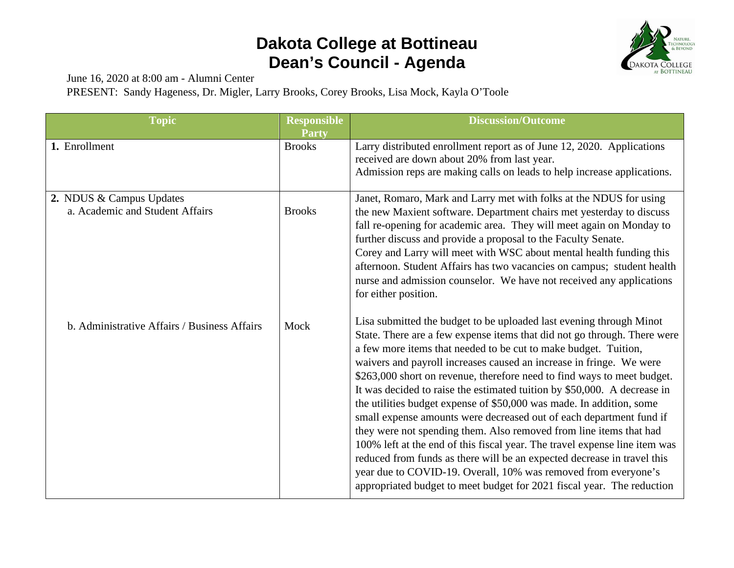

June 16, 2020 at 8:00 am - Alumni Center

PRESENT: Sandy Hageness, Dr. Migler, Larry Brooks, Corey Brooks, Lisa Mock, Kayla O'Toole

| <b>Topic</b>                                 | <b>Responsible</b> | <b>Discussion/Outcome</b>                                                                                                                                                                                                                                                                                                                                                                                                                                                                                                                                                                                                                                                                                                                                                                                                                                                                                                                                                  |
|----------------------------------------------|--------------------|----------------------------------------------------------------------------------------------------------------------------------------------------------------------------------------------------------------------------------------------------------------------------------------------------------------------------------------------------------------------------------------------------------------------------------------------------------------------------------------------------------------------------------------------------------------------------------------------------------------------------------------------------------------------------------------------------------------------------------------------------------------------------------------------------------------------------------------------------------------------------------------------------------------------------------------------------------------------------|
|                                              | <b>Party</b>       |                                                                                                                                                                                                                                                                                                                                                                                                                                                                                                                                                                                                                                                                                                                                                                                                                                                                                                                                                                            |
| 1. Enrollment                                | <b>Brooks</b>      | Larry distributed enrollment report as of June 12, 2020. Applications<br>received are down about 20% from last year.<br>Admission reps are making calls on leads to help increase applications.                                                                                                                                                                                                                                                                                                                                                                                                                                                                                                                                                                                                                                                                                                                                                                            |
| 2. NDUS & Campus Updates                     |                    | Janet, Romaro, Mark and Larry met with folks at the NDUS for using                                                                                                                                                                                                                                                                                                                                                                                                                                                                                                                                                                                                                                                                                                                                                                                                                                                                                                         |
| a. Academic and Student Affairs              | <b>Brooks</b>      | the new Maxient software. Department chairs met yesterday to discuss<br>fall re-opening for academic area. They will meet again on Monday to<br>further discuss and provide a proposal to the Faculty Senate.<br>Corey and Larry will meet with WSC about mental health funding this<br>afternoon. Student Affairs has two vacancies on campus; student health<br>nurse and admission counselor. We have not received any applications<br>for either position.                                                                                                                                                                                                                                                                                                                                                                                                                                                                                                             |
| b. Administrative Affairs / Business Affairs | Mock               | Lisa submitted the budget to be uploaded last evening through Minot<br>State. There are a few expense items that did not go through. There were<br>a few more items that needed to be cut to make budget. Tuition,<br>waivers and payroll increases caused an increase in fringe. We were<br>\$263,000 short on revenue, therefore need to find ways to meet budget.<br>It was decided to raise the estimated tuition by \$50,000. A decrease in<br>the utilities budget expense of \$50,000 was made. In addition, some<br>small expense amounts were decreased out of each department fund if<br>they were not spending them. Also removed from line items that had<br>100% left at the end of this fiscal year. The travel expense line item was<br>reduced from funds as there will be an expected decrease in travel this<br>year due to COVID-19. Overall, 10% was removed from everyone's<br>appropriated budget to meet budget for 2021 fiscal year. The reduction |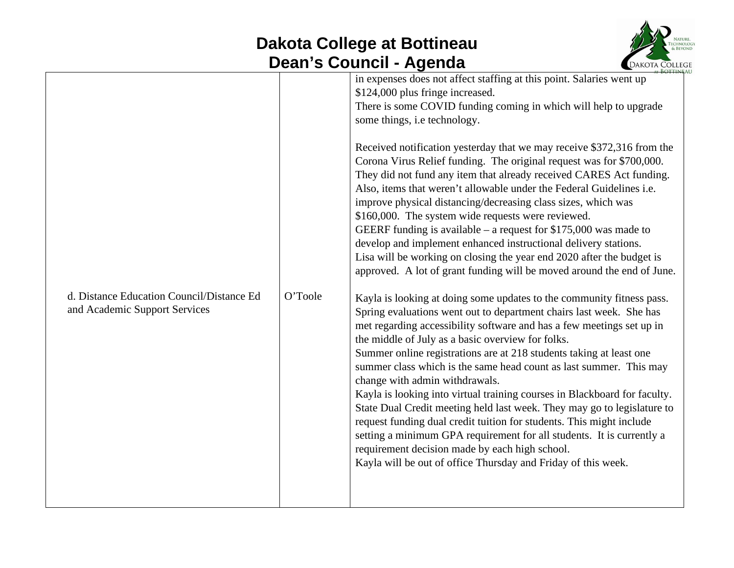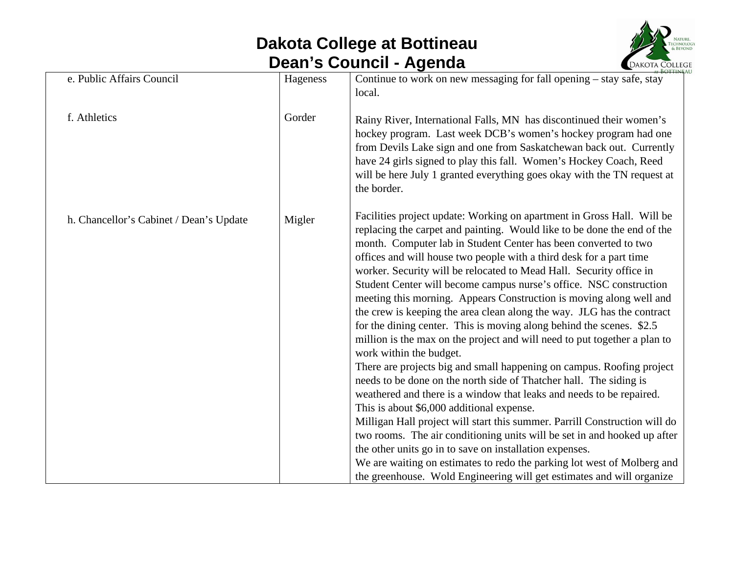

| e. Public Affairs Council               | Hageness | Continue to work on new messaging for fall opening $-$ stay safe, stay                                                                                                                                                                                                                                                                                                                                                                                                                                                                                                                                                                                                                                                                                                                                                                                                                                                                                                                                                                                                                                                                                                                                                                                                                                                                                                                                                 |
|-----------------------------------------|----------|------------------------------------------------------------------------------------------------------------------------------------------------------------------------------------------------------------------------------------------------------------------------------------------------------------------------------------------------------------------------------------------------------------------------------------------------------------------------------------------------------------------------------------------------------------------------------------------------------------------------------------------------------------------------------------------------------------------------------------------------------------------------------------------------------------------------------------------------------------------------------------------------------------------------------------------------------------------------------------------------------------------------------------------------------------------------------------------------------------------------------------------------------------------------------------------------------------------------------------------------------------------------------------------------------------------------------------------------------------------------------------------------------------------------|
|                                         |          | local.                                                                                                                                                                                                                                                                                                                                                                                                                                                                                                                                                                                                                                                                                                                                                                                                                                                                                                                                                                                                                                                                                                                                                                                                                                                                                                                                                                                                                 |
| f. Athletics                            | Gorder   | Rainy River, International Falls, MN has discontinued their women's<br>hockey program. Last week DCB's women's hockey program had one<br>from Devils Lake sign and one from Saskatchewan back out. Currently<br>have 24 girls signed to play this fall. Women's Hockey Coach, Reed<br>will be here July 1 granted everything goes okay with the TN request at<br>the border.                                                                                                                                                                                                                                                                                                                                                                                                                                                                                                                                                                                                                                                                                                                                                                                                                                                                                                                                                                                                                                           |
| h. Chancellor's Cabinet / Dean's Update | Migler   | Facilities project update: Working on apartment in Gross Hall. Will be<br>replacing the carpet and painting. Would like to be done the end of the<br>month. Computer lab in Student Center has been converted to two<br>offices and will house two people with a third desk for a part time<br>worker. Security will be relocated to Mead Hall. Security office in<br>Student Center will become campus nurse's office. NSC construction<br>meeting this morning. Appears Construction is moving along well and<br>the crew is keeping the area clean along the way. JLG has the contract<br>for the dining center. This is moving along behind the scenes. \$2.5<br>million is the max on the project and will need to put together a plan to<br>work within the budget.<br>There are projects big and small happening on campus. Roofing project<br>needs to be done on the north side of Thatcher hall. The siding is<br>weathered and there is a window that leaks and needs to be repaired.<br>This is about \$6,000 additional expense.<br>Milligan Hall project will start this summer. Parrill Construction will do<br>two rooms. The air conditioning units will be set in and hooked up after<br>the other units go in to save on installation expenses.<br>We are waiting on estimates to redo the parking lot west of Molberg and<br>the greenhouse. Wold Engineering will get estimates and will organize |